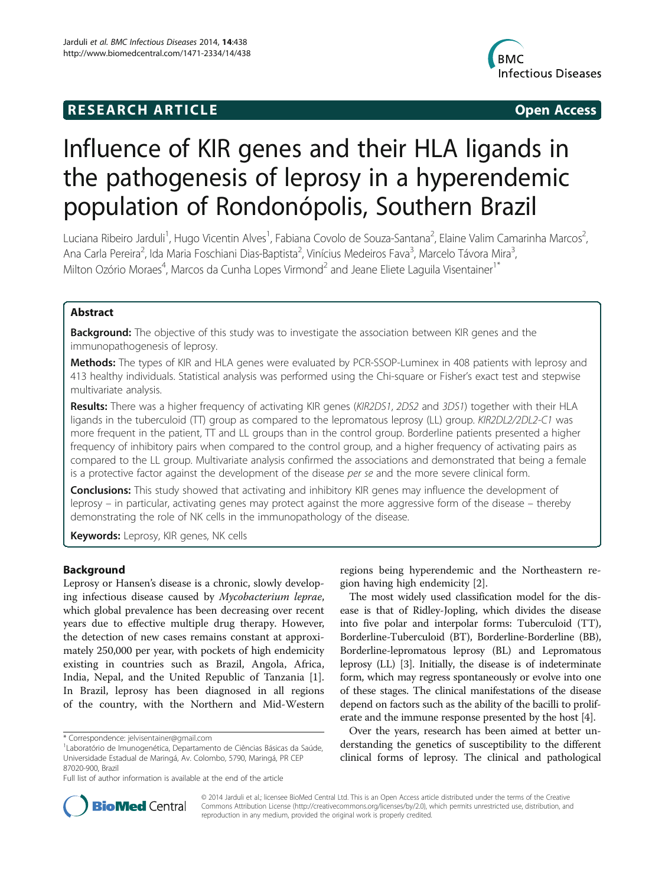# **RESEARCH ARTICLE Example 2014 CONSIDERING CONSIDERING CONSIDERING CONSIDERING CONSIDERING CONSIDERING CONSIDERING CONSIDERING CONSIDERING CONSIDERING CONSIDERING CONSIDERING CONSIDERING CONSIDERING CONSIDERING CONSIDE**



# Influence of KIR genes and their HLA ligands in the pathogenesis of leprosy in a hyperendemic population of Rondonópolis, Southern Brazil

Luciana Ribeiro Jarduli<sup>1</sup>, Hugo Vicentin Alves<sup>1</sup>, Fabiana Covolo de Souza-Santana<sup>2</sup>, Elaine Valim Camarinha Marcos<sup>2</sup> , Ana Carla Pereira<sup>2</sup>, Ida Maria Foschiani Dias-Baptista<sup>2</sup>, Vinícius Medeiros Fava<sup>3</sup>, Marcelo Távora Mira<sup>3</sup> , Milton Ozório Moraes<sup>4</sup>, Marcos da Cunha Lopes Virmond<sup>2</sup> and Jeane Eliete Laguila Visentainer<sup>1\*</sup>

# Abstract

**Background:** The objective of this study was to investigate the association between KIR genes and the immunopathogenesis of leprosy.

Methods: The types of KIR and HLA genes were evaluated by PCR-SSOP-Luminex in 408 patients with leprosy and 413 healthy individuals. Statistical analysis was performed using the Chi-square or Fisher's exact test and stepwise multivariate analysis.

Results: There was a higher frequency of activating KIR genes (KIR2DS1, 2DS2 and 3DS1) together with their HLA ligands in the tuberculoid (TT) group as compared to the lepromatous leprosy (LL) group. KIR2DL2/2DL2-C1 was more frequent in the patient, TT and LL groups than in the control group. Borderline patients presented a higher frequency of inhibitory pairs when compared to the control group, and a higher frequency of activating pairs as compared to the LL group. Multivariate analysis confirmed the associations and demonstrated that being a female is a protective factor against the development of the disease per se and the more severe clinical form.

**Conclusions:** This study showed that activating and inhibitory KIR genes may influence the development of leprosy – in particular, activating genes may protect against the more aggressive form of the disease – thereby demonstrating the role of NK cells in the immunopathology of the disease.

Keywords: Leprosy, KIR genes, NK cells

# Background

Leprosy or Hansen's disease is a chronic, slowly developing infectious disease caused by Mycobacterium leprae, which global prevalence has been decreasing over recent years due to effective multiple drug therapy. However, the detection of new cases remains constant at approximately 250,000 per year, with pockets of high endemicity existing in countries such as Brazil, Angola, Africa, India, Nepal, and the United Republic of Tanzania [1]. In Brazil, leprosy has been diagnosed in all regions of the country, with the Northern and Mid-Western

regions being hyperendemic and the Northeastern region having high endemicity [2].

The most widely used classification model for the disease is that of Ridley-Jopling, which divides the disease into five polar and interpolar forms: Tuberculoid (TT), Borderline-Tuberculoid (BT), Borderline-Borderline (BB), Borderline-lepromatous leprosy (BL) and Lepromatous leprosy (LL) [3]. Initially, the disease is of indeterminate form, which may regress spontaneously or evolve into one of these stages. The clinical manifestations of the disease depend on factors such as the ability of the bacilli to proliferate and the immune response presented by the host [4].

Over the years, research has been aimed at better understanding the genetics of susceptibility to the different clinical forms of leprosy. The clinical and pathological



© 2014 Jarduli et al.; licensee BioMed Central Ltd. This is an Open Access article distributed under the terms of the Creative Commons Attribution License (http://creativecommons.org/licenses/by/2.0), which permits unrestricted use, distribution, and reproduction in any medium, provided the original work is properly credited.

<sup>\*</sup> Correspondence: jelvisentainer@gmail.com <sup>1</sup>

Laboratório de Imunogenética, Departamento de Ciências Básicas da Saúde, Universidade Estadual de Maringá, Av. Colombo, 5790, Maringá, PR CEP 87020-900, Brazil

Full list of author information is available at the end of the article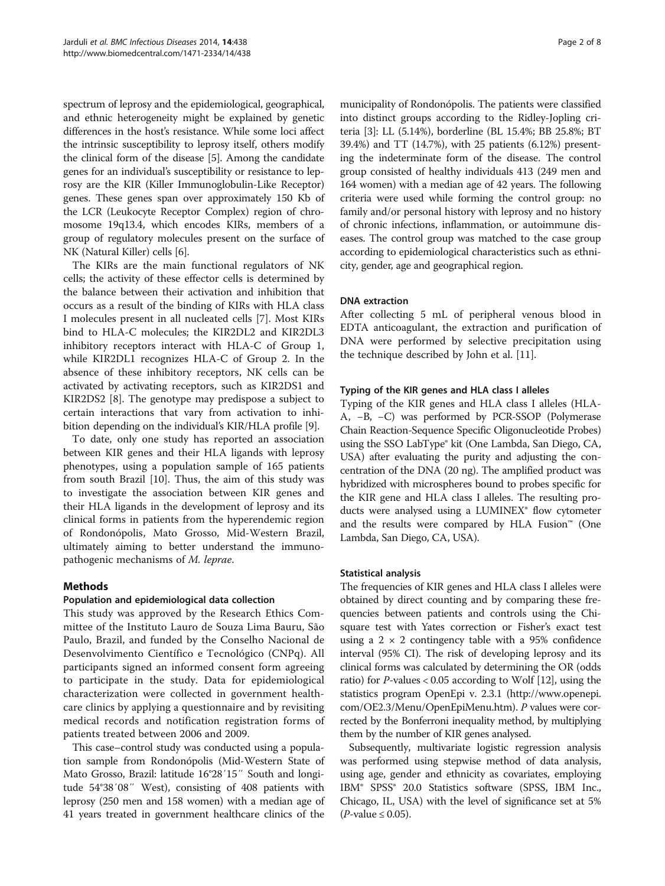spectrum of leprosy and the epidemiological, geographical, and ethnic heterogeneity might be explained by genetic differences in the host's resistance. While some loci affect the intrinsic susceptibility to leprosy itself, others modify the clinical form of the disease [5]. Among the candidate genes for an individual's susceptibility or resistance to leprosy are the KIR (Killer Immunoglobulin-Like Receptor) genes. These genes span over approximately 150 Kb of the LCR (Leukocyte Receptor Complex) region of chromosome 19q13.4, which encodes KIRs, members of a group of regulatory molecules present on the surface of NK (Natural Killer) cells [6].

The KIRs are the main functional regulators of NK cells; the activity of these effector cells is determined by the balance between their activation and inhibition that occurs as a result of the binding of KIRs with HLA class I molecules present in all nucleated cells [7]. Most KIRs bind to HLA-C molecules; the KIR2DL2 and KIR2DL3 inhibitory receptors interact with HLA-C of Group 1, while KIR2DL1 recognizes HLA-C of Group 2. In the absence of these inhibitory receptors, NK cells can be activated by activating receptors, such as KIR2DS1 and KIR2DS2 [8]. The genotype may predispose a subject to certain interactions that vary from activation to inhibition depending on the individual's KIR/HLA profile [9].

To date, only one study has reported an association between KIR genes and their HLA ligands with leprosy phenotypes, using a population sample of 165 patients from south Brazil [10]. Thus, the aim of this study was to investigate the association between KIR genes and their HLA ligands in the development of leprosy and its clinical forms in patients from the hyperendemic region of Rondonópolis, Mato Grosso, Mid-Western Brazil, ultimately aiming to better understand the immunopathogenic mechanisms of M. leprae.

# Methods

# Population and epidemiological data collection

This study was approved by the Research Ethics Committee of the Instituto Lauro de Souza Lima Bauru, São Paulo, Brazil, and funded by the Conselho Nacional de Desenvolvimento Científico e Tecnológico (CNPq). All participants signed an informed consent form agreeing to participate in the study. Data for epidemiological characterization were collected in government healthcare clinics by applying a questionnaire and by revisiting medical records and notification registration forms of patients treated between 2006 and 2009.

This case–control study was conducted using a population sample from Rondonópolis (Mid-Western State of Mato Grosso, Brazil: latitude 16°28′15″ South and longitude 54°38′08″ West), consisting of 408 patients with leprosy (250 men and 158 women) with a median age of 41 years treated in government healthcare clinics of the

municipality of Rondonópolis. The patients were classified into distinct groups according to the Ridley-Jopling criteria [3]: LL (5.14%), borderline (BL 15.4%; BB 25.8%; BT 39.4%) and TT (14.7%), with 25 patients (6.12%) presenting the indeterminate form of the disease. The control group consisted of healthy individuals 413 (249 men and 164 women) with a median age of 42 years. The following criteria were used while forming the control group: no family and/or personal history with leprosy and no history of chronic infections, inflammation, or autoimmune diseases. The control group was matched to the case group according to epidemiological characteristics such as ethnicity, gender, age and geographical region.

#### DNA extraction

After collecting 5 mL of peripheral venous blood in EDTA anticoagulant, the extraction and purification of DNA were performed by selective precipitation using the technique described by John et al. [11].

# Typing of the KIR genes and HLA class I alleles

Typing of the KIR genes and HLA class I alleles (HLA-A, −B, −C) was performed by PCR-SSOP (Polymerase Chain Reaction-Sequence Specific Oligonucleotide Probes) using the SSO LabType® kit (One Lambda, San Diego, CA, USA) after evaluating the purity and adjusting the concentration of the DNA (20 ng). The amplified product was hybridized with microspheres bound to probes specific for the KIR gene and HLA class I alleles. The resulting products were analysed using a LUMINEX<sup>®</sup> flow cytometer and the results were compared by HLA Fusion™ (One Lambda, San Diego, CA, USA).

# Statistical analysis

The frequencies of KIR genes and HLA class I alleles were obtained by direct counting and by comparing these frequencies between patients and controls using the Chisquare test with Yates correction or Fisher's exact test using a  $2 \times 2$  contingency table with a 95% confidence interval (95% CI). The risk of developing leprosy and its clinical forms was calculated by determining the OR (odds ratio) for P-values  $< 0.05$  according to Wolf [12], using the statistics program OpenEpi v. 2.3.1 (http://www.openepi. com/OE2.3/Menu/OpenEpiMenu.htm). P values were corrected by the Bonferroni inequality method, by multiplying them by the number of KIR genes analysed.

Subsequently, multivariate logistic regression analysis was performed using stepwise method of data analysis, using age, gender and ethnicity as covariates, employing IBM® SPSS® 20.0 Statistics software (SPSS, IBM Inc., Chicago, IL, USA) with the level of significance set at 5%  $(P$ -value  $\leq 0.05$ ).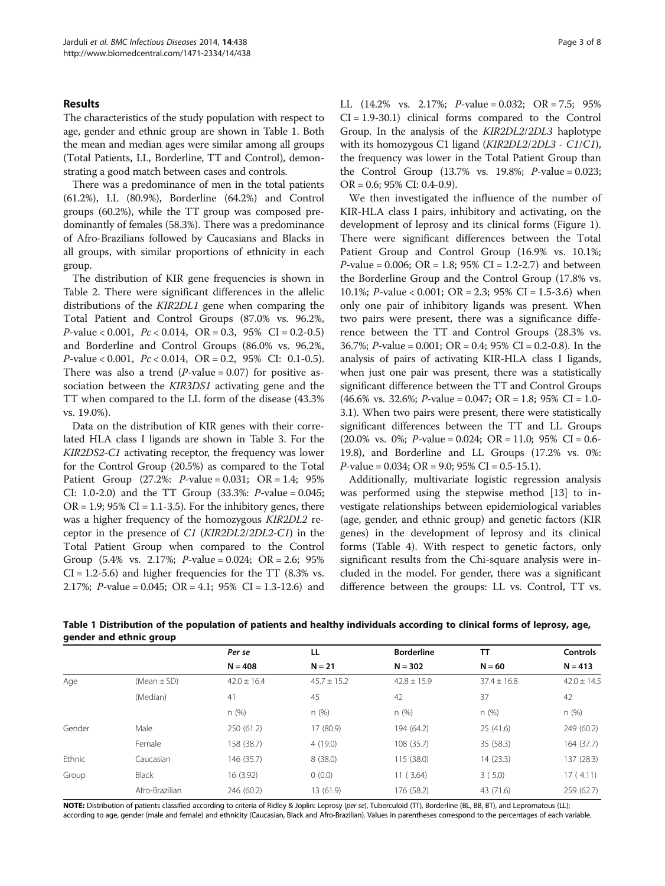### Results

The characteristics of the study population with respect to age, gender and ethnic group are shown in Table 1. Both the mean and median ages were similar among all groups (Total Patients, LL, Borderline, TT and Control), demonstrating a good match between cases and controls.

There was a predominance of men in the total patients (61.2%), LL (80.9%), Borderline (64.2%) and Control groups (60.2%), while the TT group was composed predominantly of females (58.3%). There was a predominance of Afro-Brazilians followed by Caucasians and Blacks in all groups, with similar proportions of ethnicity in each group.

The distribution of KIR gene frequencies is shown in Table 2. There were significant differences in the allelic distributions of the KIR2DL1 gene when comparing the Total Patient and Control Groups (87.0% vs. 96.2%,  $P$ -value < 0.001,  $Pc$  < 0.014,  $OR = 0.3$ , 95% CI = 0.2-0.5) and Borderline and Control Groups (86.0% vs. 96.2%,  $P$ -value < 0.001,  $Pc$  < 0.014,  $OR = 0.2$ , 95% CI: 0.1-0.5). There was also a trend  $(P-value = 0.07)$  for positive association between the *KIR3DS1* activating gene and the TT when compared to the LL form of the disease (43.3% vs. 19.0%).

Data on the distribution of KIR genes with their correlated HLA class I ligands are shown in Table 3. For the KIR2DS2-C1 activating receptor, the frequency was lower for the Control Group (20.5%) as compared to the Total Patient Group (27.2%:  $P$ -value = 0.031; OR = 1.4; 95% CI: 1.0-2.0) and the TT Group (33.3%: P-value = 0.045;  $OR = 1.9$ ; 95%  $CI = 1.1 - 3.5$ ). For the inhibitory genes, there was a higher frequency of the homozygous KIR2DL2 receptor in the presence of C1 (KIR2DL2/2DL2-C1) in the Total Patient Group when compared to the Control Group  $(5.4\% \text{ vs. } 2.17\%; \text{ } P\text{-value} = 0.024; \text{ } OR = 2.6; \text{ } 95\%$  $CI = 1.2-5.6$ ) and higher frequencies for the TT  $(8.3\%$  vs. 2.17%; *P*-value = 0.045; OR = 4.1; 95% CI = 1.3-12.6) and LL  $(14.2\% \text{ vs. } 2.17\%; \text{ } P\text{-value} = 0.032; \text{ } OR = 7.5; \text{ } 95\%$  $CI = 1.9 - 30.1$  clinical forms compared to the Control Group. In the analysis of the KIR2DL2/2DL3 haplotype with its homozygous C1 ligand (KIR2DL2/2DL3 - C1/C1), the frequency was lower in the Total Patient Group than the Control Group  $(13.7\% \text{ vs. } 19.8\%; P-value = 0.023;$ OR = 0.6; 95% CI: 0.4-0.9).

We then investigated the influence of the number of KIR-HLA class I pairs, inhibitory and activating, on the development of leprosy and its clinical forms (Figure 1). There were significant differences between the Total Patient Group and Control Group (16.9% vs. 10.1%; *P*-value = 0.006; OR = 1.8; 95% CI = 1.2-2.7) and between the Borderline Group and the Control Group (17.8% vs. 10.1%; *P*-value < 0.001; OR = 2.3; 95% CI = 1.5-3.6) when only one pair of inhibitory ligands was present. When two pairs were present, there was a significance difference between the TT and Control Groups (28.3% vs. 36.7%; P-value = 0.001; OR = 0.4; 95% CI = 0.2-0.8). In the analysis of pairs of activating KIR-HLA class I ligands, when just one pair was present, there was a statistically significant difference between the TT and Control Groups  $(46.6\% \text{ vs. } 32.6\%; P-value = 0.047; \text{ OR} = 1.8; 95\% \text{ CI} = 1.0-$ 3.1). When two pairs were present, there were statistically significant differences between the TT and LL Groups  $(20.0\% \text{ vs. } 0\%; P-value = 0.024; \text{ OR} = 11.0; 95\% \text{ CI} = 0.6$ -19.8), and Borderline and LL Groups (17.2% vs. 0%:  $P$ -value = 0.034; OR = 9.0; 95% CI = 0.5-15.1).

Additionally, multivariate logistic regression analysis was performed using the stepwise method [13] to investigate relationships between epidemiological variables (age, gender, and ethnic group) and genetic factors (KIR genes) in the development of leprosy and its clinical forms (Table 4). With respect to genetic factors, only significant results from the Chi-square analysis were included in the model. For gender, there was a significant difference between the groups: LL vs. Control, TT vs.

|        |                 | Per se          | LL              | <b>Borderline</b> | TΤ              | <b>Controls</b> |
|--------|-----------------|-----------------|-----------------|-------------------|-----------------|-----------------|
|        |                 | $N = 408$       | $N = 21$        | $N = 302$         | $N = 60$        | $N = 413$       |
| Age    | (Mean $\pm$ SD) | $42.0 \pm 16.4$ | $45.7 \pm 15.2$ | $42.8 \pm 15.9$   | $37.4 \pm 16.8$ | $42.0 \pm 14.5$ |
|        | (Median)        | 41              | 45              | 42                | 37              | 42              |
|        |                 | n(%)            | n(%)            | n(%)              | n(%)            | n(%)            |
| Gender | Male            | 250 (61.2)      | 17 (80.9)       | 194 (64.2)        | 25(41.6)        | 249 (60.2)      |
|        | Female          | 158 (38.7)      | 4(19.0)         | 108 (35.7)        | 35 (58.3)       | 164 (37.7)      |
| Ethnic | Caucasian       | 146 (35.7)      | 8(38.0)         | 115(38.0)         | 14(23.3)        | 137 (28.3)      |
| Group  | <b>Black</b>    | 16 (3.92)       | 0(0.0)          | 11(3.64)          | 3(5.0)          | 17(4.11)        |
|        | Afro-Brazilian  | 246 (60.2)      | 13 (61.9)       | 176 (58.2)        | 43 (71.6)       | 259 (62.7)      |

Table 1 Distribution of the population of patients and healthy individuals according to clinical forms of leprosy, age, gender and ethnic group

NOTE: Distribution of patients classified according to criteria of Ridley & Joplin: Leprosy (per se), Tuberculoid (TT), Borderline (BL, BB, BT), and Lepromatous (LL); according to age, gender (male and female) and ethnicity (Caucasian, Black and Afro-Brazilian). Values in parentheses correspond to the percentages of each variable.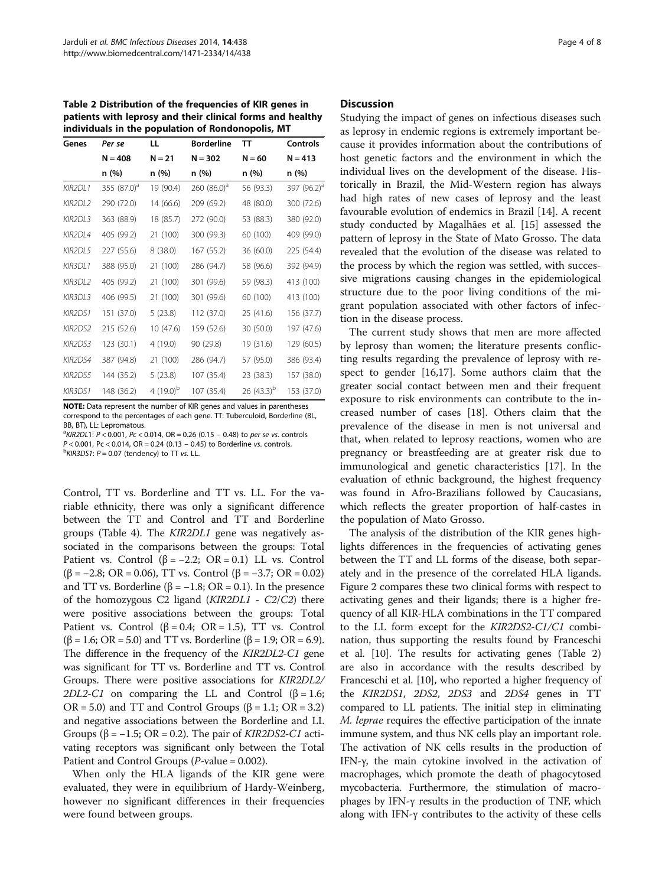Table 2 Distribution of the frequencies of KIR genes in patients with leprosy and their clinical forms and healthy individuals in the population of Rondonopolis, MT

| Genes          | Per se         | LL.            | <b>Borderline</b> | TΤ              | Controls                |
|----------------|----------------|----------------|-------------------|-----------------|-------------------------|
|                | $N = 408$      | N = 21         | $N = 302$         | $N = 60$        | $N = 413$               |
|                | n (%)          | n (%)          | n (%)             | n (%)           | n (%)                   |
| KIR2DL1        | 355 $(87.0)^a$ | 19 (90.4)      | 260 $(86.0)^a$    | 56 (93.3)       | 397 (96.2) <sup>a</sup> |
| KIR2DL2        | 290 (72.0)     | 14 (66.6)      | 209 (69.2)        | 48 (80.0)       | 300 (72.6)              |
| KIR2DL3        | 363 (88.9)     | 18 (85.7)      | 272 (90.0)        | 53 (88.3)       | 380 (92.0)              |
| KIR2DL4        | 405 (99.2)     | 21 (100)       | 300 (99.3)        | 60 (100)        | 409 (99.0)              |
| KIR2DL5        | 227 (55.6)     | 8(38.0)        | 167 (55.2)        | 36 (60.0)       | 225 (54.4)              |
| <b>KIR3DL1</b> | 388 (95.0)     | 21 (100)       | 286 (94.7)        | 58 (96.6)       | 392 (94.9)              |
| KIR3DL2        | 405 (99.2)     | 21 (100)       | 301 (99.6)        | 59 (98.3)       | 413 (100)               |
| KIR3DL3        | 406 (99.5)     | 21 (100)       | 301 (99.6)        | 60 (100)        | 413 (100)               |
| <b>KIR2DS1</b> | 151 (37.0)     | 5(23.8)        | 112 (37.0)        | 25 (41.6)       | 156 (37.7)              |
| KIR2DS2        | 215 (52.6)     | 10(47.6)       | 159 (52.6)        | 30 (50.0)       | 197 (47.6)              |
| KIR2DS3        | 123 (30.1)     | 4 (19.0)       | 90 (29.8)         | 19 (31.6)       | 129 (60.5)              |
| KIR2DS4        | 387 (94.8)     | 21 (100)       | 286 (94.7)        | 57 (95.0)       | 386 (93.4)              |
| KIR2DS5        | 144 (35.2)     | 5(23.8)        | 107 (35.4)        | 23 (38.3)       | 157 (38.0)              |
| <b>KIR3DS1</b> | 148 (36.2)     | 4 $(19.0)^{b}$ | 107 (35.4)        | 26 $(43.3)^{b}$ | 153 (37.0)              |

NOTE: Data represent the number of KIR genes and values in parentheses correspond to the percentages of each gene. TT: Tuberculoid, Borderline (BL, BB, BT), LL: Lepromatous.

 $R/2$ DL1:  $P < 0.001$ ,  $Pc < 0.014$ ,  $OR = 0.26$  (0.15 – 0.48) to per se vs. controls

 $P < 0.001$ , Pc  $< 0.014$ , OR = 0.24 (0.13 – 0.45) to Borderline vs. controls.

 $\frac{b}{R}$ KIR3DS1: P = 0.07 (tendency) to TT vs. LL.

Control, TT vs. Borderline and TT vs. LL. For the variable ethnicity, there was only a significant difference between the TT and Control and TT and Borderline groups (Table 4). The KIR2DL1 gene was negatively associated in the comparisons between the groups: Total Patient vs. Control  $(\beta = -2.2; \text{ OR } = 0.1)$  LL vs. Control ( $\beta$  = −2.8; OR = 0.06), TT vs. Control ( $\beta$  = −3.7; OR = 0.02) and TT vs. Borderline ( $\beta$  = -1.8; OR = 0.1). In the presence of the homozygous C2 ligand (KIR2DL1 - C2/C2) there were positive associations between the groups: Total Patient vs. Control ( $\beta = 0.4$ ; OR = 1.5), TT vs. Control  $(β = 1.6; OR = 5.0)$  and TT vs. Borderline  $(β = 1.9; OR = 6.9)$ . The difference in the frequency of the KIR2DL2-C1 gene was significant for TT vs. Borderline and TT vs. Control Groups. There were positive associations for KIR2DL2/ 2DL2-C1 on comparing the LL and Control  $(\beta = 1.6;$  $OR = 5.0$ ) and TT and Control Groups ( $\beta = 1.1$ ; OR = 3.2) and negative associations between the Borderline and LL Groups ( $\beta$  = -1.5; OR = 0.2). The pair of *KIR2DS2-C1* activating receptors was significant only between the Total Patient and Control Groups ( $P$ -value = 0.002).

When only the HLA ligands of the KIR gene were evaluated, they were in equilibrium of Hardy-Weinberg, however no significant differences in their frequencies were found between groups.

#### **Discussion**

Studying the impact of genes on infectious diseases such as leprosy in endemic regions is extremely important because it provides information about the contributions of host genetic factors and the environment in which the individual lives on the development of the disease. Historically in Brazil, the Mid-Western region has always had high rates of new cases of leprosy and the least favourable evolution of endemics in Brazil [14]. A recent study conducted by Magalhães et al. [15] assessed the pattern of leprosy in the State of Mato Grosso. The data revealed that the evolution of the disease was related to the process by which the region was settled, with successive migrations causing changes in the epidemiological structure due to the poor living conditions of the migrant population associated with other factors of infection in the disease process.

The current study shows that men are more affected by leprosy than women; the literature presents conflicting results regarding the prevalence of leprosy with respect to gender [16,17]. Some authors claim that the greater social contact between men and their frequent exposure to risk environments can contribute to the increased number of cases [18]. Others claim that the prevalence of the disease in men is not universal and that, when related to leprosy reactions, women who are pregnancy or breastfeeding are at greater risk due to immunological and genetic characteristics [17]. In the evaluation of ethnic background, the highest frequency was found in Afro-Brazilians followed by Caucasians, which reflects the greater proportion of half-castes in the population of Mato Grosso.

The analysis of the distribution of the KIR genes highlights differences in the frequencies of activating genes between the TT and LL forms of the disease, both separately and in the presence of the correlated HLA ligands. Figure 2 compares these two clinical forms with respect to activating genes and their ligands; there is a higher frequency of all KIR-HLA combinations in the TT compared to the LL form except for the KIR2DS2-C1/C1 combination, thus supporting the results found by Franceschi et al. [10]. The results for activating genes (Table 2) are also in accordance with the results described by Franceschi et al. [10], who reported a higher frequency of the KIR2DS1, 2DS2, 2DS3 and 2DS4 genes in TT compared to LL patients. The initial step in eliminating M. leprae requires the effective participation of the innate immune system, and thus NK cells play an important role. The activation of NK cells results in the production of IFN-γ, the main cytokine involved in the activation of macrophages, which promote the death of phagocytosed mycobacteria. Furthermore, the stimulation of macrophages by IFN-γ results in the production of TNF, which along with IFN-γ contributes to the activity of these cells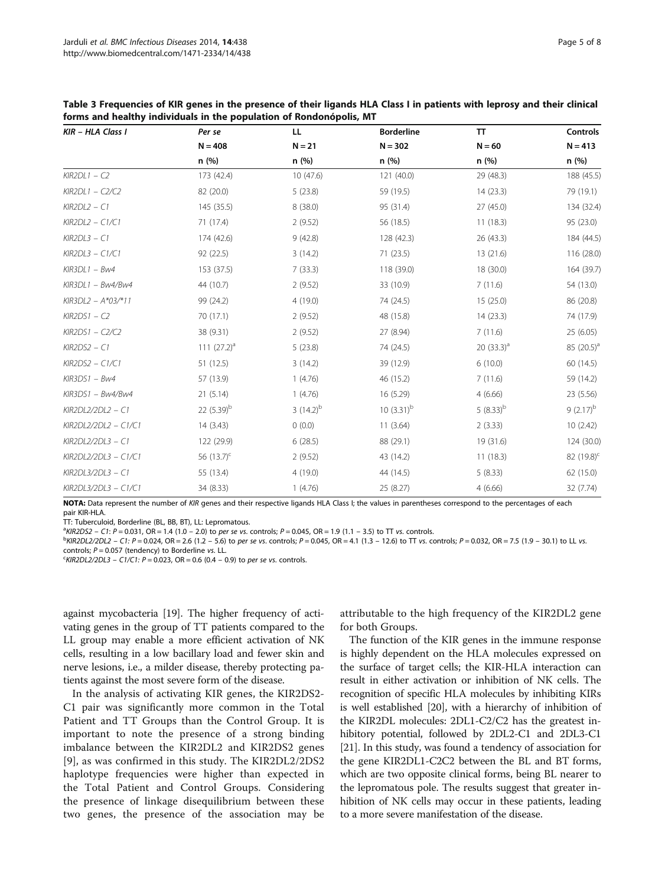| KIR - HLA Class I    | Per se          | LL.           | <b>Borderline</b> | <b>TT</b>     | Controls               |
|----------------------|-----------------|---------------|-------------------|---------------|------------------------|
|                      | $N = 408$       | $N = 21$      | $N = 302$         | $N = 60$      | $N = 413$              |
|                      | n(%)            | n (%)         | n (%)             | n (%)         | n (%)                  |
| $KIR2DL1 - C2$       | 173 (42.4)      | 10(47.6)      | 121 (40.0)        | 29 (48.3)     | 188 (45.5)             |
| $KIR2DL1 - C2/C2$    | 82 (20.0)       | 5(23.8)       | 59 (19.5)         | 14(23.3)      | 79 (19.1)              |
| $KIR2DL2 - C1$       | 145 (35.5)      | 8(38.0)       | 95 (31.4)         | 27 (45.0)     | 134 (32.4)             |
| $KIR2DL2 - C1/C1$    | 71 (17.4)       | 2(9.52)       | 56 (18.5)         | 11(18.3)      | 95 (23.0)              |
| $KIR2DL3 - C1$       | 174 (42.6)      | 9(42.8)       | 128 (42.3)        | 26 (43.3)     | 184 (44.5)             |
| $KIR2DL3 - C1/C1$    | 92 (22.5)       | 3(14.2)       | 71(23.5)          | 13 (21.6)     | 116 (28.0)             |
| $KIR3DL1 - Bw4$      | 153 (37.5)      | 7(33.3)       | 118 (39.0)        | 18 (30.0)     | 164 (39.7)             |
| $KIR3DL1 - Bw4/Bw4$  | 44 (10.7)       | 2(9.52)       | 33 (10.9)         | 7(11.6)       | 54 (13.0)              |
| $KIR3DL2 - A*03/*11$ | 99 (24.2)       | 4(19.0)       | 74 (24.5)         | 15(25.0)      | 86 (20.8)              |
| $KIR2DS1 - C2$       | 70 (17.1)       | 2(9.52)       | 48 (15.8)         | 14(23.3)      | 74 (17.9)              |
| $KIR2DS1 - C2/C2$    | 38 (9.31)       | 2(9.52)       | 27 (8.94)         | 7(11.6)       | 25 (6.05)              |
| $KIR2DS2 - C1$       | 111 $(27.2)^a$  | 5(23.8)       | 74 (24.5)         | 20 $(33.3)^a$ | 85 $(20.5)^a$          |
| $KIR2DS2 - C1/C1$    | 51(12.5)        | 3(14.2)       | 39 (12.9)         | 6(10.0)       | 60 (14.5)              |
| $KIR3DS1 - Bw4$      | 57 (13.9)       | 1(4.76)       | 46 (15.2)         | 7(11.6)       | 59 (14.2)              |
| $KIR3DS1 - Bw4/Bw4$  | 21(5.14)        | 1(4.76)       | 16 (5.29)         | 4(6.66)       | 23 (5.56)              |
| KIR2DL2/2DL2 - C1    | 22 $(5.39)^b$   | $3(14.2)^{b}$ | 10 $(3.31)^b$     | $(8.33)^{b}$  | $9(2.17)^{b}$          |
| KIR2DL2/2DL2 - C1/C1 | 14(3.43)        | 0(0.0)        | 11(3.64)          | 2(3.33)       | 10(2.42)               |
| KIR2DL2/2DL3 - C1    | 122 (29.9)      | 6(28.5)       | 88 (29.1)         | 19 (31.6)     | 124 (30.0)             |
| KIR2DL2/2DL3 - C1/C1 | 56 $(13.7)^{c}$ | 2(9.52)       | 43 (14.2)         | 11(18.3)      | 82 (19.8) <sup>c</sup> |
| KIR2DL3/2DL3 - C1    | 55 (13.4)       | 4(19.0)       | 44 (14.5)         | 5(8.33)       | 62 (15.0)              |
| KIR2DL3/2DL3 - C1/C1 | 34 (8.33)       | 1(4.76)       | 25 (8.27)         | 4(6.66)       | 32 (7.74)              |

Table 3 Frequencies of KIR genes in the presence of their ligands HLA Class I in patients with leprosy and their clinical forms and healthy individuals in the population of Rondonópolis, MT

NOTA: Data represent the number of KIR genes and their respective ligands HLA Class I; the values in parentheses correspond to the percentages of each pair KIR-HLA.

TT: Tuberculoid, Borderline (BL, BB, BT), LL: Lepromatous.

 ${}^{a}KIR2DS2 - C1: P = 0.031$ , OR = 1.4 (1.0 – 2.0) to per se vs. controls; P = 0.045, OR = 1.9 (1.1 – 3.5) to TT vs. controls.<br>Principal 2/2012, C1: P = 0.034, OR = 3.6 (1.2), 5.6) to per se vs. controls: P = 0.045, OR = 4.1 (

 $b$ KIR2DL2/2DL2 – C1: P = 0.024, OR = 2.6 (1.2 – 5.6) to per se vs. controls; P = 0.045, OR = 4.1 (1.3 – 12.6) to TT vs. controls; P = 0.032, OR = 7.5 (1.9 – 30.1) to LL vs. controls;  $P = 0.057$  (tendency) to Borderline vs. LL.

 $KIR2DL2/2DL3 - C1/C1$ :  $P = 0.023$ , OR = 0.6 (0.4 – 0.9) to per se vs. controls.

against mycobacteria [19]. The higher frequency of activating genes in the group of TT patients compared to the LL group may enable a more efficient activation of NK cells, resulting in a low bacillary load and fewer skin and nerve lesions, i.e., a milder disease, thereby protecting patients against the most severe form of the disease.

In the analysis of activating KIR genes, the KIR2DS2- C1 pair was significantly more common in the Total Patient and TT Groups than the Control Group. It is important to note the presence of a strong binding imbalance between the KIR2DL2 and KIR2DS2 genes [9], as was confirmed in this study. The KIR2DL2/2DS2 haplotype frequencies were higher than expected in the Total Patient and Control Groups. Considering the presence of linkage disequilibrium between these two genes, the presence of the association may be

attributable to the high frequency of the KIR2DL2 gene for both Groups.

The function of the KIR genes in the immune response is highly dependent on the HLA molecules expressed on the surface of target cells; the KIR-HLA interaction can result in either activation or inhibition of NK cells. The recognition of specific HLA molecules by inhibiting KIRs is well established [20], with a hierarchy of inhibition of the KIR2DL molecules: 2DL1-C2/C2 has the greatest inhibitory potential, followed by 2DL2-C1 and 2DL3-C1 [21]. In this study, was found a tendency of association for the gene KIR2DL1-C2C2 between the BL and BT forms, which are two opposite clinical forms, being BL nearer to the lepromatous pole. The results suggest that greater inhibition of NK cells may occur in these patients, leading to a more severe manifestation of the disease.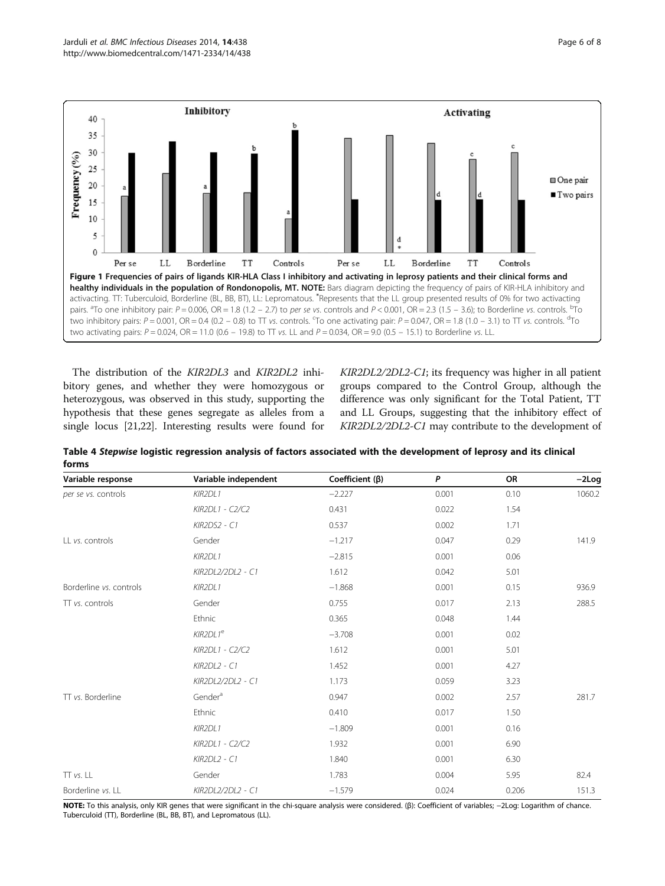

The distribution of the KIR2DL3 and KIR2DL2 inhibitory genes, and whether they were homozygous or heterozygous, was observed in this study, supporting the hypothesis that these genes segregate as alleles from a single locus [21,22]. Interesting results were found for KIR2DL2/2DL2-C1; its frequency was higher in all patient groups compared to the Control Group, although the difference was only significant for the Total Patient, TT and LL Groups, suggesting that the inhibitory effect of KIR2DL2/2DL2-C1 may contribute to the development of

| Variable response       | Variable independent | Coefficient $(\beta)$ | P     | OR    | $-2Log$ |
|-------------------------|----------------------|-----------------------|-------|-------|---------|
| per se vs. controls     | KIR2DL1              | $-2.227$              | 0.001 | 0.10  | 1060.2  |
|                         | KIR2DL1 - C2/C2      | 0.431                 | 0.022 | 1.54  |         |
|                         | KIR2DS2 - C1         | 0.537                 | 0.002 | 1.71  |         |
| LL vs. controls         | Gender               | $-1.217$              | 0.047 | 0.29  | 141.9   |
|                         | KIR2DL1              | $-2.815$              | 0.001 | 0.06  |         |
|                         | KIR2DL2/2DL2 - C1    | 1.612                 | 0.042 | 5.01  |         |
| Borderline vs. controls | KIR2DL1              | $-1.868$              | 0.001 | 0.15  | 936.9   |
| $\Pi$ vs. controls      | Gender               | 0.755                 | 0.017 | 2.13  | 288.5   |
|                         | Ethnic               | 0.365                 | 0.048 | 1.44  |         |
|                         | KIR2DL1 <sup>e</sup> | $-3.708$              | 0.001 | 0.02  |         |
|                         | KIR2DL1 - C2/C2      | 1.612                 | 0.001 | 5.01  |         |
|                         | KIR2DL2 - C1         | 1.452                 | 0.001 | 4.27  |         |
|                         | KIR2DL2/2DL2 - C1    | 1.173                 | 0.059 | 3.23  |         |
| TT vs. Borderline       | Gender <sup>a</sup>  | 0.947                 | 0.002 | 2.57  | 281.7   |
|                         | Ethnic               | 0.410                 | 0.017 | 1.50  |         |
|                         | KIR2DL1              | $-1.809$              | 0.001 | 0.16  |         |
|                         | KIR2DL1 - C2/C2      | 1.932                 | 0.001 | 6.90  |         |
|                         | KIR2DL2 - C1         | 1.840                 | 0.001 | 6.30  |         |
| TT vs. LL               | Gender               | 1.783                 | 0.004 | 5.95  | 82.4    |
| Borderline vs. LL       | KIR2DL2/2DL2 - C1    | $-1.579$              | 0.024 | 0.206 | 151.3   |

Table 4 Stepwise logistic regression analysis of factors associated with the development of leprosy and its clinical forms

NOTE: To this analysis, only KIR genes that were significant in the chi-square analysis were considered. (β): Coefficient of variables; -2Log: Logarithm of chance. Tuberculoid (TT), Borderline (BL, BB, BT), and Lepromatous (LL).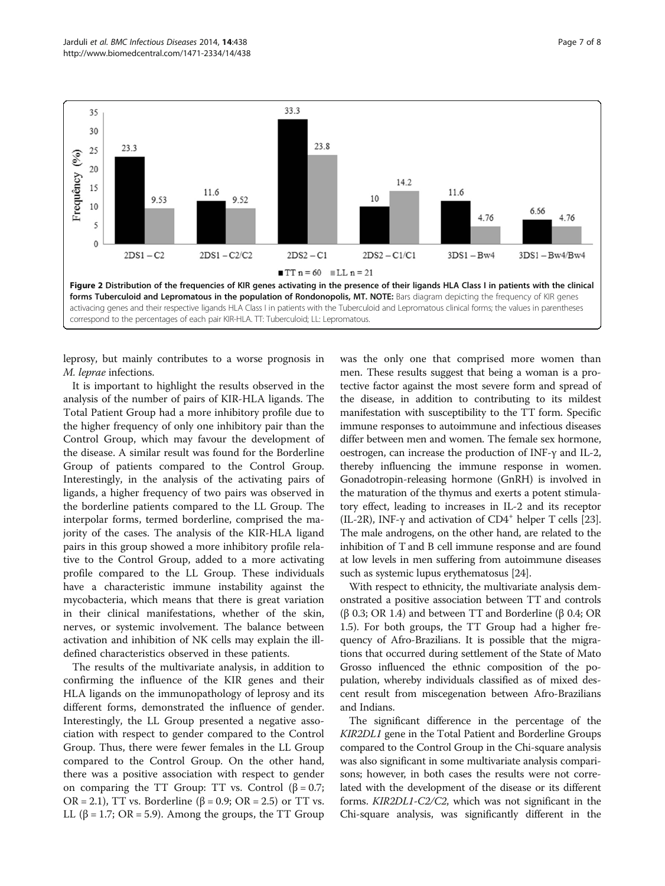

leprosy, but mainly contributes to a worse prognosis in M. leprae infections.

It is important to highlight the results observed in the analysis of the number of pairs of KIR-HLA ligands. The Total Patient Group had a more inhibitory profile due to the higher frequency of only one inhibitory pair than the Control Group, which may favour the development of the disease. A similar result was found for the Borderline Group of patients compared to the Control Group. Interestingly, in the analysis of the activating pairs of ligands, a higher frequency of two pairs was observed in the borderline patients compared to the LL Group. The interpolar forms, termed borderline, comprised the majority of the cases. The analysis of the KIR-HLA ligand pairs in this group showed a more inhibitory profile relative to the Control Group, added to a more activating profile compared to the LL Group. These individuals have a characteristic immune instability against the mycobacteria, which means that there is great variation in their clinical manifestations, whether of the skin, nerves, or systemic involvement. The balance between activation and inhibition of NK cells may explain the illdefined characteristics observed in these patients.

The results of the multivariate analysis, in addition to confirming the influence of the KIR genes and their HLA ligands on the immunopathology of leprosy and its different forms, demonstrated the influence of gender. Interestingly, the LL Group presented a negative association with respect to gender compared to the Control Group. Thus, there were fewer females in the LL Group compared to the Control Group. On the other hand, there was a positive association with respect to gender on comparing the TT Group: TT vs. Control  $(\beta = 0.7;$ OR = 2.1), TT vs. Borderline ( $\beta$  = 0.9; OR = 2.5) or TT vs. LL (β = 1.7; OR = 5.9). Among the groups, the TT Group

was the only one that comprised more women than men. These results suggest that being a woman is a protective factor against the most severe form and spread of the disease, in addition to contributing to its mildest manifestation with susceptibility to the TT form. Specific immune responses to autoimmune and infectious diseases differ between men and women. The female sex hormone, oestrogen, can increase the production of INF-γ and IL-2, thereby influencing the immune response in women. Gonadotropin-releasing hormone (GnRH) is involved in the maturation of the thymus and exerts a potent stimulatory effect, leading to increases in IL-2 and its receptor (IL-2R), INF- $\gamma$  and activation of CD4<sup>+</sup> helper T cells [23]. The male androgens, on the other hand, are related to the inhibition of T and B cell immune response and are found at low levels in men suffering from autoimmune diseases such as systemic lupus erythematosus [24].

With respect to ethnicity, the multivariate analysis demonstrated a positive association between TT and controls (β 0.3; OR 1.4) and between TT and Borderline (β 0.4; OR 1.5). For both groups, the TT Group had a higher frequency of Afro-Brazilians. It is possible that the migrations that occurred during settlement of the State of Mato Grosso influenced the ethnic composition of the population, whereby individuals classified as of mixed descent result from miscegenation between Afro-Brazilians and Indians.

The significant difference in the percentage of the KIR2DL1 gene in the Total Patient and Borderline Groups compared to the Control Group in the Chi-square analysis was also significant in some multivariate analysis comparisons; however, in both cases the results were not correlated with the development of the disease or its different forms. KIR2DL1-C2/C2, which was not significant in the Chi-square analysis, was significantly different in the